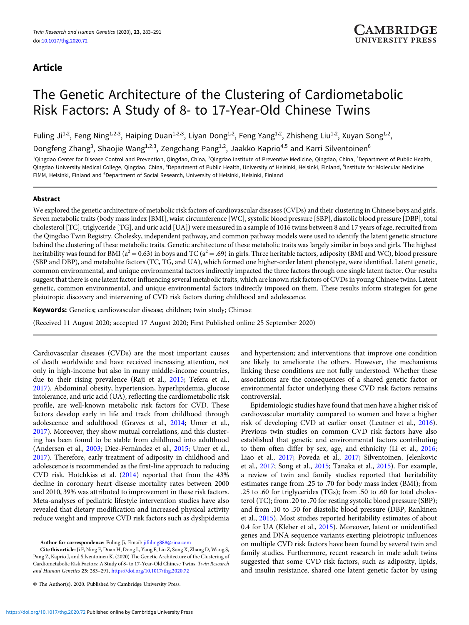# Article

# The Genetic Architecture of the Clustering of Cardiometabolic Risk Factors: A Study of 8- to 17-Year-Old Chinese Twins

Fuling Ji<sup>1,2</sup>, Feng Ning<sup>1,2,3</sup>, Haiping Duan<sup>1,2,3</sup>, Liyan Dong<sup>1,2</sup>, Feng Yang<sup>1,2</sup>, Zhisheng Liu<sup>1,2</sup>, Xuyan Song<sup>1,2</sup>,

Dongfeng Zhang<sup>3</sup>, Shaojie Wang<sup>1,2,3</sup>, Zengchang Pang<sup>1,2</sup>, Jaakko Kaprio<sup>4,5</sup> and Karri Silventoinen<sup>6</sup>

<sup>1</sup>Qingdao Center for Disease Control and Prevention, Qingdao, China, <sup>2</sup>Qingdao Institute of Preventive Medicine, Qingdao, China, <sup>3</sup>Department of Public Health, Qingdao University Medical College, Qingdao, China, <sup>4</sup>Department of Public Health, University of Helsinki, Helsinki, Finland, <sup>5</sup>Institute for Molecular Medicine FIMM, Helsinki, Finland and <sup>6</sup>Department of Social Research, University of Helsinki, Helsinki, Finland

# Abstract

We explored the genetic architecture of metabolic risk factors of cardiovascular diseases (CVDs) and their clustering in Chinese boys and girls. Seven metabolic traits (body mass index [BMI], waist circumference [WC], systolic blood pressure [SBP], diastolic blood pressure [DBP], total cholesterol [TC], triglyceride [TG], and uric acid [UA]) were measured in a sample of 1016 twins between 8 and 17 years of age, recruited from the Qingdao Twin Registry. Cholesky, independent pathway, and common pathway models were used to identify the latent genetic structure behind the clustering of these metabolic traits. Genetic architecture of these metabolic traits was largely similar in boys and girls. The highest heritability was found for BMI ( $a^2 = 0.63$ ) in boys and TC ( $a^2 = .69$ ) in girls. Three heritable factors, adiposity (BMI and WC), blood pressure (SBP and DBP), and metabolite factors (TC, TG, and UA), which formed one higher-order latent phenotype, were identified. Latent genetic, common environmental, and unique environmental factors indirectly impacted the three factors through one single latent factor. Our results suggest that there is one latent factor influencing several metabolic traits, which are known risk factors of CVDs in young Chinese twins. Latent genetic, common environmental, and unique environmental factors indirectly imposed on them. These results inform strategies for gene pleiotropic discovery and intervening of CVD risk factors during childhood and adolescence.

Keywords: Genetics; cardiovascular disease; children; twin study; Chinese

(Received 11 August 2020; accepted 17 August 2020; First Published online 25 September 2020)

Cardiovascular diseases (CVDs) are the most important causes of death worldwide and have received increasing attention, not only in high-income but also in many middle-income countries, due to their rising prevalence (Raji et al., [2015;](#page-7-0) Tefera et al., [2017](#page-8-0)). Abdominal obesity, hypertension, hyperlipidemia, glucose intolerance, and uric acid (UA), reflecting the cardiometabolic risk profile, are well-known metabolic risk factors for CVD. These factors develop early in life and track from childhood through adolescence and adulthood (Graves et al., [2014;](#page-7-0) Umer et al., [2017](#page-8-0)). Moreover, they show mutual correlations, and this clustering has been found to be stable from childhood into adulthood (Andersen et al., [2003;](#page-7-0) Díez-Fernández et al., [2015](#page-7-0); Umer et al., [2017](#page-8-0)). Therefore, early treatment of adiposity in childhood and adolescence is recommended as the first-line approach to reducing CVD risk. Hotchkiss et al. ([2014](#page-7-0)) reported that from the 43% decline in coronary heart disease mortality rates between 2000 and 2010, 39% was attributed to improvement in these risk factors. Meta-analyses of pediatric lifestyle intervention studies have also revealed that dietary modification and increased physical activity reduce weight and improve CVD risk factors such as dyslipidemia

Author for correspondence: Fuling Ji, Email: [jifuling888@sina.com](mailto:jifuling888@sina.com)

Cite this article: Ji F, Ning F, Duan H, Dong L, Yang F, Liu Z, Song X, Zhang D, Wang S, Pang Z, Kaprio J, and Silventoinen K. (2020) The Genetic Architecture of the Clustering of Cardiometabolic Risk Factors: A Study of 8- to 17-Year-Old Chinese Twins. Twin Research and Human Genetics 23: 283–291, <https://doi.org/10.1017/thg.2020.72>

and hypertension; and interventions that improve one condition are likely to ameliorate the others. However, the mechanisms linking these conditions are not fully understood. Whether these associations are the consequences of a shared genetic factor or environmental factor underlying these CVD risk factors remains controversial.

Epidemiologic studies have found that men have a higher risk of cardiovascular mortality compared to women and have a higher risk of developing CVD at earlier onset (Leutner et al., [2016\)](#page-7-0). Previous twin studies on common CVD risk factors have also established that genetic and environmental factors contributing to them often differ by sex, age, and ethnicity (Li et al., [2016;](#page-7-0) Liao et al., [2017;](#page-7-0) Poveda et al., [2017;](#page-7-0) Silventoinen, Jelenkovic et al., [2017](#page-7-0); Song et al., [2015;](#page-7-0) Tanaka et al., [2015](#page-8-0)). For example, a review of twin and family studies reported that heritability estimates range from .25 to .70 for body mass index (BMI); from .25 to .60 for triglycerides (TGs); from .50 to .60 for total cholesterol (TC); from .20 to .70 for resting systolic blood pressure (SBP); and from .10 to .50 for diastolic blood pressure (DBP; Rankinen et al., [2015](#page-7-0)). Most studies reported heritability estimates of about 0.4 for UA (Kleber et al., [2015\)](#page-7-0). Moreover, latent or unidentified genes and DNA sequence variants exerting pleiotropic influences on multiple CVD risk factors have been found by several twin and family studies. Furthermore, recent research in male adult twins suggested that some CVD risk factors, such as adiposity, lipids, and insulin resistance, shared one latent genetic factor by using

<sup>©</sup> The Author(s), 2020. Published by Cambridge University Press.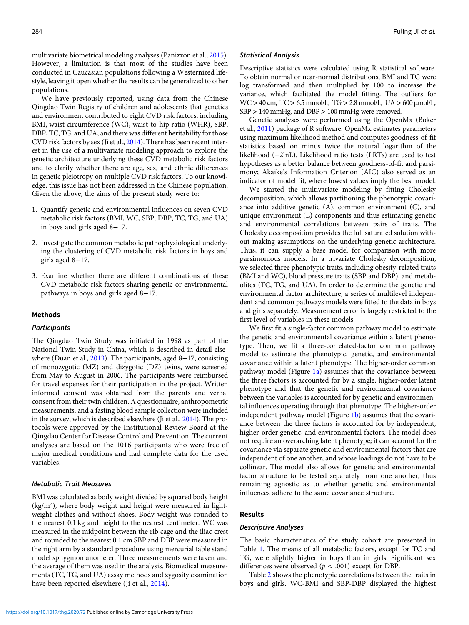multivariate biometrical modeling analyses (Panizzon et al., [2015](#page-7-0)). However, a limitation is that most of the studies have been conducted in Caucasian populations following a Westernized lifestyle, leaving it open whether the results can be generalized to other populations.

We have previously reported, using data from the Chinese Qingdao Twin Registry of children and adolescents that genetics and environment contributed to eight CVD risk factors, including BMI, waist circumference (WC), waist-to-hip ratio (WHR), SBP, DBP, TC, TG, and UA, and there was different heritability for those CVD risk factors by sex (Ji et al., [2014](#page-7-0)). There has been recent interest in the use of a multivariate modeling approach to explore the genetic architecture underlying these CVD metabolic risk factors and to clarify whether there are age, sex, and ethnic differences in genetic pleiotropy on multiple CVD risk factors. To our knowledge, this issue has not been addressed in the Chinese population. Given the above, the aims of the present study were to:

- 1. Quantify genetic and environmental influences on seven CVD metabolic risk factors (BMI, WC, SBP, DBP, TC, TG, and UA) in boys and girls aged 8−17.
- 2. Investigate the common metabolic pathophysiological underlying the clustering of CVD metabolic risk factors in boys and girls aged 8−17.
- 3. Examine whether there are different combinations of these CVD metabolic risk factors sharing genetic or environmental pathways in boys and girls aged 8−17.

#### Methods

# **Participants**

The Qingdao Twin Study was initiated in 1998 as part of the National Twin Study in China, which is described in detail elsewhere (Duan et al., [2013\)](#page-7-0). The participants, aged 8−17, consisting of monozygotic (MZ) and dizygotic (DZ) twins, were screened from May to August in 2006. The participants were reimbursed for travel expenses for their participation in the project. Written informed consent was obtained from the parents and verbal consent from their twin children. A questionnaire, anthropometric measurements, and a fasting blood sample collection were included in the survey, which is described elsewhere (Ji et al., [2014](#page-7-0)). The protocols were approved by the Institutional Review Board at the Qingdao Center for Disease Control and Prevention. The current analyses are based on the 1016 participants who were free of major medical conditions and had complete data for the used variables.

#### Metabolic Trait Measures

BMI was calculated as body weight divided by squared body height (kg/m<sup>2</sup>), where body weight and height were measured in lightweight clothes and without shoes. Body weight was rounded to the nearest 0.1 kg and height to the nearest centimeter. WC was measured in the midpoint between the rib cage and the iliac crest and rounded to the nearest 0.1 cm SBP and DBP were measured in the right arm by a standard procedure using mercurial table stand model sphygmomanometer. Three measurements were taken and the average of them was used in the analysis. Biomedical measurements (TC, TG, and UA) assay methods and zygosity examination have been reported elsewhere (Ji et al., [2014](#page-7-0)).

## Statistical Analysis

Descriptive statistics were calculated using R statistical software. To obtain normal or near-normal distributions, BMI and TG were log transformed and then multiplied by 100 to increase the variance, which facilitated the model fitting. The outliers for  $WC > 40$  cm,  $TC > 6.5$  mmol/L,  $TG > 2.8$  mmol/L,  $UA > 600$   $\mu$ mol/L, SBP>140 mmHg, and DBP>100 mmHg were removed.

Genetic analyses were performed using the OpenMx (Boker et al., [2011\)](#page-7-0) package of R software. OpenMx estimates parameters using maximum likelihood method and computes goodness-of-fit statistics based on minus twice the natural logarithm of the likelihood (−2lnL). Likelihood ratio tests (LRTs) are used to test hypotheses as a better balance between goodness-of-fit and parsimony; Akaike's Information Criterion (AIC) also served as an indicator of model fit, where lowest values imply the best model.

We started the multivariate modeling by fitting Cholesky decomposition, which allows partitioning the phenotypic covariance into additive genetic (A), common environment (C), and unique environment (E) components and thus estimating genetic and environmental correlations between pairs of traits. The Cholesky decomposition provides the full saturated solution without making assumptions on the underlying genetic architecture. Thus, it can supply a base model for comparison with more parsimonious models. In a trivariate Cholesky decomposition, we selected three phenotypic traits, including obesity-related traits (BMI and WC), blood pressure traits (SBP and DBP), and metabolites (TC, TG, and UA). In order to determine the genetic and environmental factor architecture, a series of multilevel independent and common pathways models were fitted to the data in boys and girls separately. Measurement error is largely restricted to the first level of variables in these models.

We first fit a single-factor common pathway model to estimate the genetic and environmental covariance within a latent phenotype. Then, we fit a three-correlated-factor common pathway model to estimate the phenotypic, genetic, and environmental covariance within a latent phenotype. The higher-order common pathway model (Figure  $1a$ ) assumes that the covariance between the three factors is accounted for by a single, higher-order latent phenotype and that the genetic and environmental covariance between the variables is accounted for by genetic and environmental influences operating through that phenotype. The higher-order independent pathway model (Figure [1b](#page-2-0)) assumes that the covariance between the three factors is accounted for by independent, higher-order genetic, and environmental factors. The model does not require an overarching latent phenotype; it can account for the covariance via separate genetic and environmental factors that are independent of one another, and whose loadings do not have to be collinear. The model also allows for genetic and environmental factor structure to be tested separately from one another, thus remaining agnostic as to whether genetic and environmental influences adhere to the same covariance structure.

# Results

## Descriptive Analyses

The basic characteristics of the study cohort are presented in Table [1.](#page-3-0) The means of all metabolic factors, except for TC and TG, were slightly higher in boys than in girls. Significant sex differences were observed ( $p < .001$ ) except for DBP.

Table [2](#page-3-0) shows the phenotypic correlations between the traits in boys and girls. WC-BMI and SBP-DBP displayed the highest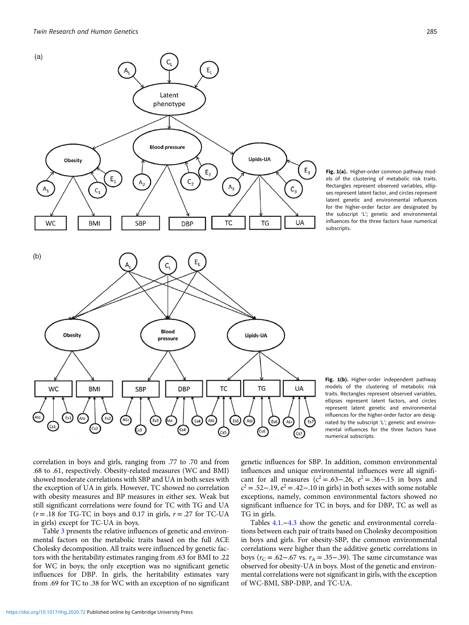<span id="page-2-0"></span>



Fig. 1(b). Higher-order independent pathway models of the clustering of metabolic risk traits. Rectangles represent observed variables, ellipses represent latent factors, and circles represent latent genetic and environmental influences for the higher-order factor are designated by the subscript 'L'; genetic and environmental influences for the three factors have numerical subscripts.

correlation in boys and girls, ranging from .77 to .70 and from .68 to .61, respectively. Obesity-related measures (WC and BMI) showed moderate correlations with SBP and UA in both sexes with the exception of UA in girls. However, TC showed no correlation with obesity measures and BP measures in either sex. Weak but still significant correlations were found for TC with TG and UA  $(r = .18$  for TG-TC in boys and 0.17 in girls,  $r = .27$  for TC-UA in girls) except for TC-UA in boys.

Table [3](#page-3-0) presents the relative influences of genetic and environmental factors on the metabolic traits based on the full ACE Cholesky decomposition. All traits were influenced by genetic factors with the heritability estimates ranging from .63 for BMI to .22 for WC in boys; the only exception was no significant genetic influences for DBP. In girls, the heritability estimates vary from .69 for TC to .38 for WC with an exception of no significant

genetic influences for SBP. In addition, common environmental influences and unique environmental influences were all significant for all measures ( $c^2 = .63 - .26$ ,  $e^2 = .36 - .15$  in boys and  $c<sup>2</sup> = .52-.19$ ,  $e<sup>2</sup> = .42-.10$  in girls) in both sexes with some notable exceptions, namely, common environmental factors showed no significant influence for TC in boys, and for DBP, TC as well as TG in girls.

Tables 4.1.−4.3 show the genetic and environmental correlations between each pair of traits based on Cholesky decomposition in boys and girls. For obesity-SBP, the common environmental correlations were higher than the additive genetic correlations in boys ( $r_c$  = .62–.67 vs.  $r_A$  = .35–.39). The same circumstance was observed for obesity-UA in boys. Most of the genetic and environmental correlations were not significant in girls, with the exception of WC-BMI, SBP-DBP, and TC-UA.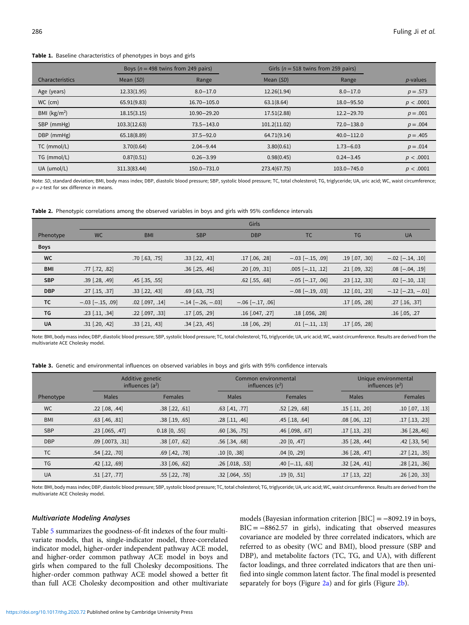<span id="page-3-0"></span>Table 1. Baseline characteristics of phenotypes in boys and girls

|                 |              | Boys ( $n = 498$ twins from 249 pairs) |              | Girls ( $n = 518$ twins from 259 pairs) |             |
|-----------------|--------------|----------------------------------------|--------------|-----------------------------------------|-------------|
| Characteristics | Mean (SD)    | Range                                  | Mean (SD)    | Range                                   | $p$ -values |
| Age (years)     | 12.33(1.95)  | $8.0 - 17.0$                           | 12.26(1.94)  | $8.0 - 17.0$                            | $p = .573$  |
| $WC$ (cm)       | 65.91(9.83)  | $16.70 - 105.0$                        | 63.1(8.64)   | $18.0 - 95.50$                          | p < .0001   |
| BMI $(kg/m2)$   | 18.15(3.15)  | $10.90 - 29.20$                        | 17.51(2.88)  | $12.2 - 29.70$                          | $p = .001$  |
| SBP (mmHg)      | 103.3(12.63) | $73.5 - 143.0$                         | 101.2(11.02) | $72.0 - 138.0$                          | $p = .004$  |
| DBP (mmHg)      | 65.18(8.89)  | $37.5 - 92.0$                          | 64.71(9.14)  | $40.0 - 112.0$                          | $p = .405$  |
| TC (mmol/L)     | 3.70(0.64)   | $2.04 - 9.44$                          | 3.80(0.61)   | $1.73 - 6.03$                           | $p = .014$  |
| TG (mmol/L)     | 0.87(0.51)   | $0.26 - 3.99$                          | 0.98(0.45)   | $0.24 - 3.45$                           | p < .0001   |
| UA (umol/L)     | 311.3(83.44) | 150.0-731.0                            | 273.4(67.75) | $103.0 - 745.0$                         | p < .0001   |

Note: SD, standard deviation; BMI, body mass index; DBP, diastolic blood pressure; SBP, systolic blood pressure; TC, total cholesterol; TG, triglyceride; UA, uric acid; WC, waist circumference;  $p = z$ -test for sex difference in means.

Table 2. Phenotypic correlations among the observed variables in boys and girls with 95% confidence intervals

|             | Girls                |                     |                         |                        |                        |                    |                         |  |
|-------------|----------------------|---------------------|-------------------------|------------------------|------------------------|--------------------|-------------------------|--|
| Phenotype   | <b>WC</b>            | <b>BMI</b>          | <b>SBP</b>              | <b>DBP</b>             | <b>TC</b>              | <b>TG</b>          | <b>UA</b>               |  |
| <b>Boys</b> |                      |                     |                         |                        |                        |                    |                         |  |
| <b>WC</b>   |                      | $.70$ $[.63, .75]$  | $.33$ [.22, .43]        | $.17$ [.06, .28]       | $-.03$ $[-.15, .09]$   | $.19$ [.07, .30]   | $-.02$ [ $-.14, .10$ ]  |  |
| <b>BMI</b>  | $.77$ $[.72, .82]$   |                     | $.36$ [.25, .46]        | $.20$ [.09, .31]       | $.005$ [ $-.11, .12$ ] | $.21$ [.09, .32]   | $.08$ $[-.04, .19]$     |  |
| <b>SBP</b>  | $.39$ [.28, .49]     | $.45$ [.35, .55]    |                         | $.62$ [.55, .68]       | $-.05$ [ $-.17, .06$ ] | $.23$ [.12, .33]   | $.02$ [ $-.10, .13$ ]   |  |
| <b>DBP</b>  | $.27$ [.15, .37]     | $.33$ [.22, .43]    | $.69$ $(.63, .75)$      |                        | $-.08$ $[-.19, .03]$   | $.12$ [.01, .23]   | $-.12$ [ $-.23, -.01$ ] |  |
| TC          | $-.03$ $[-.15, .09]$ | $.02$ $[.097, .14]$ | $-.14$ [ $-.26, -.03$ ] | $-.06$ [ $-.17, .06$ ] |                        | $.17$ [.05, .28]   | $.27$ [.16, .37]        |  |
| TG          | $.23$ [.11, .34]     | $.22$ [.097, .33]   | $.17$ [.05, .29]        | $.16$ [.047, .27]      | $.18$ [.056, .28]      |                    | $.16$ $[.05, .27]$      |  |
| <b>UA</b>   | $.31$ $[.20, .42]$   | $.33$ [.21, .43]    | $.34$ $[.23, .45]$      | $.18$ $[.06, .29]$     | $.01$ $[-.11, .13]$    | $.17$ $[.05, .28]$ |                         |  |

Note: BMI, body mass index; DBP, diastolic blood pressure; SBP, systolic blood pressure; TC, total cholesterol; TG, triglyceride; UA, uric acid; WC, waist circumference. Results are derived from the multivariate ACE Cholesky model.

|            |                      | Additive genetic<br>influences $(a^2)$ |                         | Common environmental<br>influences $(c2)$ | Unique environmental<br>influences $(e^2)$ |                  |  |
|------------|----------------------|----------------------------------------|-------------------------|-------------------------------------------|--------------------------------------------|------------------|--|
| Phenotype  | Males                | <b>Females</b>                         | <b>Males</b>            | <b>Females</b>                            | Males                                      | <b>Females</b>   |  |
| <b>WC</b>  | $.22$ [.08, .44]     | $.38$ [.22, .61]                       | $.63$ [.41, .77]        | $.52$ [.29, .68]                          | $.15$ [.11, .20]                           | $.10$ [.07, .13] |  |
| <b>BMI</b> | $.63$ $[.46, .81]$   | $.38$ [.19, .65]                       | $.28$ [.11, .46]        | $.45$ [.18, .64]                          | $.08$ $[.06, .12]$                         | $.17$ [.13, .23] |  |
| <b>SBP</b> | $.23$ [.065, .47]    | $0.18$ [0, .55]                        | $.60$ [ $.36$ , $.75$ ] | $.46$ $[.098, .67]$                       | $.17$ [.13, .23]                           | $.36$ [.28,.46]  |  |
| <b>DBP</b> | $.09$ $[.0073, .31]$ | $.38$ [.07, .62]                       | $.56$ $[.34, .68]$      | .20 [0, .47]                              | $.35$ $[.28, .44]$                         | $.42$ [.33, 54]  |  |
| <b>TC</b>  | $.54$ [.22, .70]     | $.69$ $[.42, .78]$                     | $.10$ [0, .38]          | $.04$ [0, .29]                            | $.36$ [.28, .47]                           | $.27$ [.21, .35] |  |
| <b>TG</b>  | $.42$ [.12, .69]     | $.33$ [.06, .62]                       | $.26$ [.018, .53]       | $.40$ [-.11, .63]                         | $.32$ [.24, .41]                           | $.28$ [.21, .36] |  |
| <b>UA</b>  | $.51$ [.27, .77]     | $.55$ $[.22, .78]$                     | $.32$ [.064, .55]       | .19[0, .51]                               | $.17$ [.13, .22]                           | $.26$ [.20, .33] |  |

Note: BMI, body mass index; DBP, diastolic blood pressure; SBP, systolic blood pressure; TC, total cholesterol; TG, triglyceride; UA, uric acid; WC, waist circumference. Results are derived from the multivariate ACE Cholesky model.

#### Multivariate Modeling Analyses

Table [5](#page-5-0) summarizes the goodness-of-fit indexes of the four multivariate models, that is, single-indicator model, three-correlated indicator model, higher-order independent pathway ACE model, and higher-order common pathway ACE model in boys and girls when compared to the full Cholesky decompositions. The higher-order common pathway ACE model showed a better fit than full ACE Cholesky decomposition and other multivariate

models (Bayesian information criterion [BIC] = −8092.19 in boys, BIC = −8862.57 in girls), indicating that observed measures covariance are modeled by three correlated indicators, which are referred to as obesity (WC and BMI), blood pressure (SBP and DBP), and metabolite factors (TC, TG, and UA), with different factor loadings, and three correlated indicators that are then unified into single common latent factor. The final model is presented separately for boys (Figure [2a](#page-5-0)) and for girls (Figure [2b\)](#page-6-0).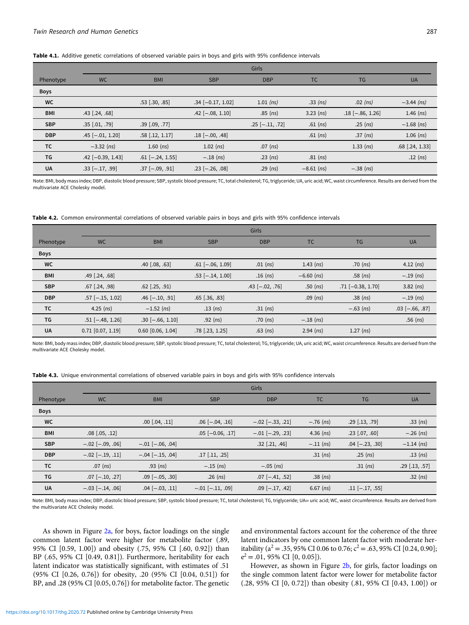# Table 4.1. Additive genetic correlations of observed variable pairs in boys and girls with 95% confidence intervals

|             |                       | <b>Girls</b>           |                       |                   |              |                    |                   |  |  |
|-------------|-----------------------|------------------------|-----------------------|-------------------|--------------|--------------------|-------------------|--|--|
| Phenotype   | <b>WC</b>             | <b>BMI</b>             | <b>SBP</b>            | <b>DBP</b>        | <b>TC</b>    | <b>TG</b>          | <b>UA</b>         |  |  |
| <b>Boys</b> |                       |                        |                       |                   |              |                    |                   |  |  |
| WC          |                       | $.53$ [.30, .85]       | $.34[-0.17, 1.02]$    | $1.01$ (ns)       | $.33$ (ns)   | $.02$ (ns)         | $-3.44$ (ns)      |  |  |
| <b>BMI</b>  | $.43$ $[.24, .68]$    |                        | $.42$ [-.08, 1.10]    | $.85$ (ns)        | $3.23$ (ns)  | $.18$ [-.86, 1.26] | $1.46$ (ns)       |  |  |
| <b>SBP</b>  | $.35$ $[.01, .79]$    | $.39$ $[.09, .77]$     |                       | $.25$ [-.11, .72] | $.61$ (ns)   | $.25$ (ns)         | $-1.68$ (ns)      |  |  |
| <b>DBP</b>  | $.45$ [-.01, 1.20]    | $.58$ [.12, 1.17]      | $.18$ [ $-.00, .48$ ] |                   | $.61$ (ns)   | $.37$ (ns)         | $1.06$ (ns)       |  |  |
| TC          | $-3.32$ (ns)          | $1.60$ (ns)            | $1.02$ (ns)           | .07 $(ns)$        |              | $1.33$ (ns)        | $.68$ [.24, 1.33] |  |  |
| TG          | $.42$ [-0.39, 1.43]   | $.61$ [ $-.24$ , 1.55] | $-.18$ (ns)           | $.23$ (ns)        | $.81$ (ns)   |                    | $.12$ (ns)        |  |  |
| <b>UA</b>   | $.33$ [ $-.17, .99$ ] | $.37$ [ $-.09, .91$ ]  | $.23$ [-.26, .08]     | $.29$ (ns)        | $-8.61$ (ns) | $-.38$ (ns)        |                   |  |  |

Note: BMI, body mass index; DBP, diastolic blood pressure; SBP, systolic blood pressure; TC, total cholesterol; TG, triglyceride; UA, uric acid; WC, waist circumference. Results are derived from the multivariate ACE Cholesky model.

#### Table 4.2. Common environmental correlations of observed variable pairs in boys and girls with 95% confidence intervals

|             | Girls                 |                       |                        |                       |              |                     |                       |  |
|-------------|-----------------------|-----------------------|------------------------|-----------------------|--------------|---------------------|-----------------------|--|
| Phenotype   | <b>WC</b>             | <b>BMI</b>            | <b>SBP</b>             | <b>DBP</b>            | TC.          | <b>TG</b>           | <b>UA</b>             |  |
| <b>Boys</b> |                       |                       |                        |                       |              |                     |                       |  |
| <b>WC</b>   |                       | $.40$ $[.08, .63]$    | $.61$ [ $-.06$ , 1.09] | .01 $(ns)$            | $1.43$ (ns)  | $.70$ (ns)          | $4.12$ (ns)           |  |
| <b>BMI</b>  | $.49$ $[.24, .68]$    |                       | $.53$ [ $-.14$ , 1.00] | $.16$ (ns)            | $-6.60$ (ns) | $.58$ (ns)          | $-.19$ (ns)           |  |
| <b>SBP</b>  | $.67$ $(.24, .98)$    | $.62$ $(.25, .91)$    |                        | $.43$ [ $-.02, .76$ ] | $.50$ (ns)   | $.71$ [-0.38, 1.70] | $3.82$ (ns)           |  |
| <b>DBP</b>  | $.57$ [-.15, 1.02]    | $.46$ [ $-.10, .91$ ] | $.65$ $(.36, .83)$     |                       | $.09$ (ns)   | $.38$ (ns)          | $-.19$ (ns)           |  |
| ТC          | $4.25$ (ns)           | $-1.52$ (ns)          | $.13$ (ns)             | $.31$ (ns)            |              | $-.63$ (ns)         | $.03$ [ $-.66, .87$ ] |  |
| TG          | $.51$ [-.48, 1.26]    | $.30$ [-.66, 1.10]    | $.92$ (ns)             | $.70$ (ns)            | $-.18$ (ns)  |                     | .56 $(ns)$            |  |
| <b>UA</b>   | $0.71$ $[0.07, 1.19]$ | 0.60 [0.06, 1.04]     | $.78$ [.23, 1.25]      | $.63$ (ns)            | $2.94$ (ns)  | $1.27$ (ns)         |                       |  |

Note: BMI, body mass index; DBP, diastolic blood pressure; SBP, systolic blood pressure; TC, total cholesterol; TG, triglyceride; UA, uric acid; WC, waist circumference. Results are derived from the multivariate ACE Cholesky model.

|  |  | Table 4.3. Unique environmental correlations of observed variable pairs in boys and girls with 95% confidence intervals |  |  |  |  |
|--|--|-------------------------------------------------------------------------------------------------------------------------|--|--|--|--|
|--|--|-------------------------------------------------------------------------------------------------------------------------|--|--|--|--|

|             |                        | Girls                  |                        |                        |             |                       |                  |  |  |
|-------------|------------------------|------------------------|------------------------|------------------------|-------------|-----------------------|------------------|--|--|
| Phenotype   | <b>WC</b>              | <b>BMI</b>             | <b>SBP</b>             | <b>DBP</b>             | <b>TC</b>   | <b>TG</b>             | <b>UA</b>        |  |  |
| <b>Boys</b> |                        |                        |                        |                        |             |                       |                  |  |  |
| WC          |                        | $.00$ $[.04, .11]$     | $.06$ $[-.04, .16]$    | $-.02$ [ $-.33, .21$ ] | $-.76$ (ns) | $.29$ [.13, .79]      | $.33$ (ns)       |  |  |
| <b>BMI</b>  | $.08$ $[.05, .12]$     |                        | $.05$ [-0.06, .17]     | $-.01$ $[-.29, .23]$   | $4.36$ (ns) | $.23$ [.07, .60]      | $-.26$ (ns)      |  |  |
| <b>SBP</b>  | $-.02$ [ $-.09, .06$ ] | $-.01$ $[-.06, .04]$   |                        | $.32$ [.21, .46]       | $-.11$ (ns) | $.04$ [-.23, .30]     | $-1.14$ (ns)     |  |  |
| <b>DBP</b>  | $-.02$ [ $-.19, .11$ ] | $-.04$ [ $-.15, .04$ ] | $.17$ [.11, .25]       |                        | $.31$ (ns)  | .25 $(ns)$            | $.13$ (ns)       |  |  |
| <b>TC</b>   | $.07$ (ns)             | $.93$ (ns)             | $-.15$ (ns)            | $-.05$ (ns)            |             | $.31$ (ns)            | $.29$ [.13, .57] |  |  |
| TG          | $.07$ $[-.10, .27]$    | $.09$ $[-.05, .30]$    | .26 $(ns)$             | $.07$ [-.41, .52]      | $.38$ (ns)  |                       | $.32$ (ns)       |  |  |
| <b>UA</b>   | $-.03$ [ $-.14, .06$ ] | $.04$ $[-.03, .11]$    | $-.01$ [ $-.11, .09$ ] | $.09$ [ $-.17, .42$ ]  | $6.67$ (ns) | $.11$ [ $-.17, .55$ ] |                  |  |  |

Note: BMI, body mass index; DBP, diastolic blood pressure; SBP, systolic blood pressure; TC, total cholesterol; TG, triglyceride; UA= uric acid; WC, waist circumference. Results are derived from the multivariate ACE Cholesky model.

As shown in Figure [2a,](#page-5-0) for boys, factor loadings on the single common latent factor were higher for metabolite factor (.89, 95% CI [0.59, 1.00]) and obesity (.75, 95% CI [.60, 0.92]) than BP (.65, 95% CI [0.49, 0.81]). Furthermore, heritability for each latent indicator was statistically significant, with estimates of .51 (95% CI [0.26, 0.76]) for obesity, .20 (95% CI [0.04, 0.51]) for BP, and .28 (95% CI [0.05, 0.76]) for metabolite factor. The genetic

and environmental factors account for the coherence of the three latent indicators by one common latent factor with moderate heritability ( $a^2 = .35$ , 95% CI 0.06 to 0.76;  $c^2 = .63$ , 95% CI [0.24, 0.90];  $e^2 = .01, 95\% \text{ CI} [0, 0.05]$ .

However, as shown in Figure [2b,](#page-6-0) for girls, factor loadings on the single common latent factor were lower for metabolite factor (.28, 95% CI [0, 0.72]) than obesity (.81, 95% CI [0.43, 1.00]) or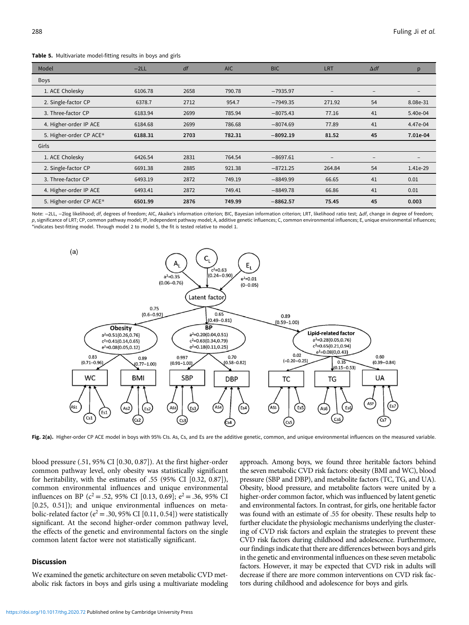<span id="page-5-0"></span>Table 5. Multivariate model-fitting results in boys and girls

| Model                   | $-2LL$  | df   | <b>AIC</b> | <b>BIC</b> | LRT    | $\Delta df$     | p        |
|-------------------------|---------|------|------------|------------|--------|-----------------|----------|
| <b>Boys</b>             |         |      |            |            |        |                 |          |
| 1. ACE Cholesky         | 6106.78 | 2658 | 790.78     | $-7935.97$ | -      | $\qquad \qquad$ |          |
| 2. Single-factor CP     | 6378.7  | 2712 | 954.7      | $-7949.35$ | 271.92 | 54              | 8.08e-31 |
| 3. Three-factor CP      | 6183.94 | 2699 | 785.94     | $-8075.43$ | 77.16  | 41              | 5.40e-04 |
| 4. Higher-order IP ACE  | 6184.68 | 2699 | 786.68     | $-8074.69$ | 77.89  | 41              | 4.47e-04 |
| 5. Higher-order CP ACE* | 6188.31 | 2703 | 782.31     | $-8092.19$ | 81.52  | 45              | 7.01e-04 |
| Girls                   |         |      |            |            |        |                 |          |
| 1. ACE Cholesky         | 6426.54 | 2831 | 764.54     | $-8697.61$ |        | $\qquad \qquad$ |          |
| 2. Single-factor CP     | 6691.38 | 2885 | 921.38     | $-8721.25$ | 264.84 | 54              | 1.41e-29 |
| 3. Three-factor CP      | 6493.19 | 2872 | 749.19     | $-8849.99$ | 66.65  | 41              | 0.01     |
| 4. Higher-order IP ACE  | 6493.41 | 2872 | 749.41     | $-8849.78$ | 66.86  | 41              | 0.01     |
| 5. Higher-order CP ACE* | 6501.99 | 2876 | 749.99     | $-8862.57$ | 75.45  | 45              | 0.003    |

Note: -2LL, -2log likelihood; df, degrees of freedom; AIC, Akaike's information criterion; BIC, Bayesian information criterion; LRT, likelihood ratio test; Δdf, change in degree of freedom; p, significance of LRT; CP, common pathway model; IP, independent pathway model; A, additive genetic influences; C, common environmental influences; E, unique environmental influences; \*indicates best-fitting model. Through model 2 to model 5, the fit is tested relative to model 1.



Fig. 2(a). Higher-order CP ACE model in boys with 95% CIs. As, Cs, and Es are the additive genetic, common, and unique environmental influences on the measured variable.

blood pressure (.51, 95% CI [0.30, 0.87]). At the first higher-order common pathway level, only obesity was statistically significant for heritability, with the estimates of .55 (95% CI [0.32, 0.87]), common environmental influences and unique environmental influences on BP ( $c^2$  = .52, 95% CI [0.13, 0.69];  $e^2$  = .36, 95% CI [0.25, 0.51]); and unique environmental influences on metabolic-related factor ( $e^2$  = .30, 95% CI [0.11, 0.54]) were statistically significant. At the second higher-order common pathway level, the effects of the genetic and environmental factors on the single common latent factor were not statistically significant.

#### Discussion

We examined the genetic architecture on seven metabolic CVD metabolic risk factors in boys and girls using a multivariate modeling

approach. Among boys, we found three heritable factors behind the seven metabolic CVD risk factors: obesity (BMI and WC), blood pressure (SBP and DBP), and metabolite factors (TC, TG, and UA). Obesity, blood pressure, and metabolite factors were united by a higher-order common factor, which was influenced by latent genetic and environmental factors. In contrast, for girls, one heritable factor was found with an estimate of .55 for obesity. These results help to further elucidate the physiologic mechanisms underlying the clustering of CVD risk factors and explain the strategies to prevent these CVD risk factors during childhood and adolescence. Furthermore, our findings indicate that there are differences between boys and girls in the genetic and environmental influences on these seven metabolic factors. However, it may be expected that CVD risk in adults will decrease if there are more common interventions on CVD risk factors during childhood and adolescence for boys and girls.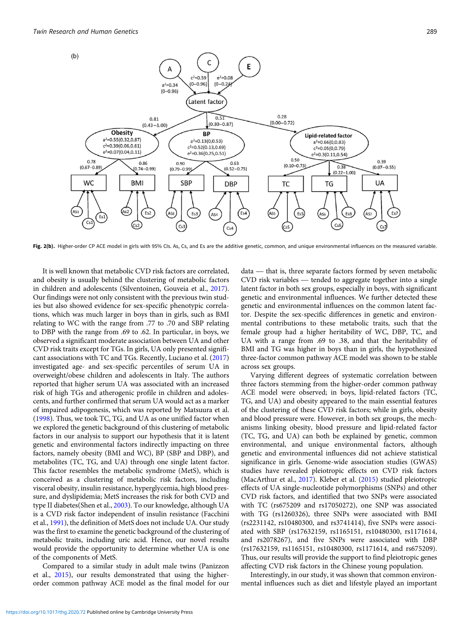<span id="page-6-0"></span>

Fig. 2(b). Higher-order CP ACE model in girls with 95% CIs. As, Cs, and Es are the additive genetic, common, and unique environmental influences on the measured variable.

It is well known that metabolic CVD risk factors are correlated, and obesity is usually behind the clustering of metabolic factors in children and adolescents (Silventoinen, Gouveia et al., [2017\)](#page-7-0). Our findings were not only consistent with the previous twin studies but also showed evidence for sex-specific phenotypic correlations, which was much larger in boys than in girls, such as BMI relating to WC with the range from .77 to .70 and SBP relating to DBP with the range from .69 to .62. In particular, in boys, we observed a significant moderate association between UA and other CVD risk traits except for TGs. In girls, UA only presented significant associations with TC and TGs. Recently, Luciano et al. ([2017\)](#page-7-0) investigated age- and sex-specific percentiles of serum UA in overweight/obese children and adolescents in Italy. The authors reported that higher serum UA was associated with an increased risk of high TGs and atherogenic profile in children and adolescents, and further confirmed that serum UA would act as a marker of impaired adipogenesis, which was reported by Matsuura et al. [\(1998](#page-7-0)). Thus, we took TC, TG, and UA as one unified factor when we explored the genetic background of this clustering of metabolic factors in our analysis to support our hypothesis that it is latent genetic and environmental factors indirectly impacting on three factors, namely obesity (BMI and WC), BP (SBP and DBP), and metabolites (TC, TG, and UA) through one single latent factor. This factor resembles the metabolic syndrome (MetS), which is conceived as a clustering of metabolic risk factors, including visceral obesity, insulin resistance, hyperglycemia, high blood pressure, and dyslipidemia; MetS increases the risk for both CVD and type II diabetes(Shen et al., [2003](#page-7-0)). To our knowledge, although UA is a CVD risk factor independent of insulin resistance (Facchini et al., [1991](#page-7-0)), the definition of MetS does not include UA. Our study was the first to examine the genetic background of the clustering of metabolic traits, including uric acid. Hence, our novel results would provide the opportunity to determine whether UA is one of the components of MetS.

Compared to a similar study in adult male twins (Panizzon et al., [2015](#page-7-0)), our results demonstrated that using the higherorder common pathway ACE model as the final model for our

e genetic, common, and unique environmental influences on the measured variable.<br>data — that is, three separate factors formed by seven metabolic data — that is, three separate factors formed by seven metabolic CVD risk variables — tended to aggregate together into a single latent factor in both sex groups, especially in boys, with significant genetic and environmental influences. We further detected these genetic and environmental influences on the common latent factor. Despite the sex-specific differences in genetic and environmental contributions to these metabolic traits, such that the female group had a higher heritability of WC, DBP, TC, and UA with a range from .69 to .38, and that the heritability of BMI and TG was higher in boys than in girls, the hypothesized three-factor common pathway ACE model was shown to be stable across sex groups.

Varying different degrees of systematic correlation between three factors stemming from the higher-order common pathway ACE model were observed; in boys, lipid-related factors (TC, TG, and UA) and obesity appeared to the main essential features of the clustering of these CVD risk factors; while in girls, obesity and blood pressure were. However, in both sex groups, the mechanisms linking obesity, blood pressure and lipid-related factor (TC, TG, and UA) can both be explained by genetic, common environmental, and unique environmental factors, although genetic and environmental influences did not achieve statistical significance in girls. Genome-wide association studies (GWAS) studies have revealed pleiotropic effects on CVD risk factors (MacArthur et al., [2017](#page-7-0)). Kleber et al. ([2015\)](#page-7-0) studied pleiotropic effects of UA single-nucleotide polymorphisms (SNPs) and other CVD risk factors, and identified that two SNPs were associated with TC (rs675209 and rs17050272), one SNP was associated with TG (rs1260326), three SNPs were associated with BMI (rs2231142, rs10480300, and rs3741414), five SNPs were associated with SBP (rs17632159, rs1165151, rs10480300, rs1171614, and rs2078267), and five SNPs were associated with DBP (rs17632159, rs1165151, rs10480300, rs1171614, and rs675209). Thus, our results will provide the support to find pleiotropic genes affecting CVD risk factors in the Chinese young population.

Interestingly, in our study, it was shown that common environmental influences such as diet and lifestyle played an important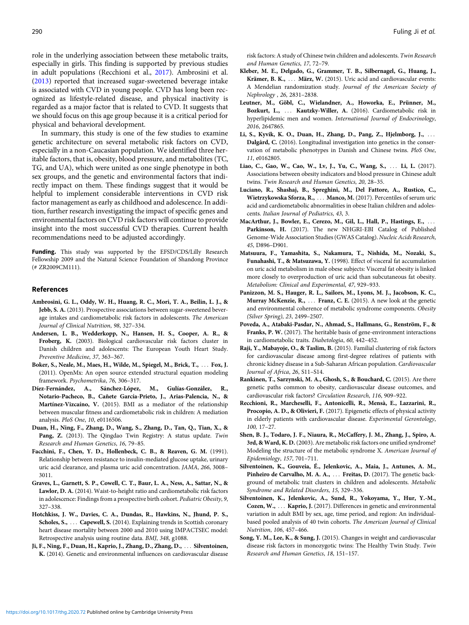<span id="page-7-0"></span>role in the underlying association between these metabolic traits, especially in girls. This finding is supported by previous studies in adult populations (Recchioni et al., 2017). Ambrosini et al. (2013) reported that increased sugar-sweetened beverage intake is associated with CVD in young people. CVD has long been recognized as lifestyle-related disease, and physical inactivity is regarded as a major factor that is related to CVD. It suggests that we should focus on this age group because it is a critical period for physical and behavioral development.

In summary, this study is one of the few studies to examine genetic architecture on several metabolic risk factors on CVD, especially in a non-Caucasian population. We identified three heritable factors, that is, obesity, blood pressure, and metabolites (TC, TG, and UA), which were united as one single phenotype in both sex groups, and the genetic and environmental factors that indirectly impact on them. These findings suggest that it would be helpful to implement considerable interventions in CVD risk factor management as early as childhood and adolescence. In addition, further research investigating the impact of specific genes and environmental factors on CVD risk factors will continue to provide insight into the most successful CVD therapies. Current health recommendations need to be adjusted accordingly.

Funding. This study was supported by the EFSD/CDS/Lilly Research Fellowship 2009 and the Natural Science Foundation of Shandong Province (# ZR2009CM111).

#### References

- Ambrosini, G. L., Oddy, W. H., Huang, R. C., Mori, T. A., Beilin, L. J., & Jebb, S. A. (2013). Prospective associations between sugar-sweetened beverage intakes and cardiometabolic risk factors in adolescents. The American Journal of Clinical Nutrition, 98, 327–334.
- Andersen, L. B., Wedderkopp, N., Hansen, H. S., Cooper, A. R., & Froberg, K. (2003). Biological cardiovascular risk factors cluster in Danish children and adolescents: The European Youth Heart Study. Preventive Medicine, 37, 363–367.
- Boker, S., Neale, M., Maes, H., Wilde, M., Spiegel, M., Brick, T., ::: Fox, J. (2011). OpenMx: An open source extended structural equation modeling framework. Psychometrika, 76, 306–317.
- Díez-Fernández, A., Sánchez-López, M., Gulías-González, R., Notario-Pacheco, B., Cañete García-Prieto, J., Arias-Palencia, N., & Martínez-Vizcaíno, V. (2015). BMI as a mediator of the relationship between muscular fitness and cardiometabolic risk in children: A mediation analysis. PloS One, 10, e0116506.
- Duan, H., Ning, F., Zhang, D., Wang, S., Zhang, D., Tan, Q., Tian, X., & Pang, Z. (2013). The Qingdao Twin Registry: A status update. Twin Research and Human Genetics, 16, 79–85.
- Facchini, F., Chen, Y. D., Hollenbeck, C. B., & Reaven, G. M. (1991). Relationship between resistance to insulin-mediated glucose uptake, urinary uric acid clearance, and plasma uric acid concentration. JAMA, 266, 3008– 3011.
- Graves, L., Garnett, S. P., Cowell, C. T., Baur, L. A., Ness, A., Sattar, N., & Lawlor, D. A. (2014). Waist-to-height ratio and cardiometabolic risk factors in adolescence: Findings from a prospective birth cohort. Pediatric Obesity, 9, 327–338.
- Hotchkiss, J. W., Davies, C. A., Dundas, R., Hawkins, N., Jhund, P. S., Scholes, S., ... Capewell, S. (2014). Explaining trends in Scottish coronary heart disease mortality between 2000 and 2010 using IMPACTSEC model: Retrospective analysis using routine data. BMJ, 348, g1088.
- Ji, F., Ning, F., Duan, H., Kaprio, J., Zhang, D., Zhang, D., ... Silventoinen, K. (2014). Genetic and environmental influences on cardiovascular disease

risk factors: A study of Chinese twin children and adolescents. Twin Research and Human Genetics, 17, 72–79.

- Kleber, M. E., Delgado, G., Grammer, T. B., Silbernagel, G., Huang, J., Krämer, B. K., ... März, W. (2015). Uric acid and cardiovascular events: A Mendelian randomization study. Journal of the American Society of Nephrology , 26, 2831–2838.
- Leutner, M., Göbl, C., Wielandner, A., Howorka, E., Prünner, M., Bozkurt, L., ... Kautzky-Willer, A. (2016). Cardiometabolic risk in hyperlipidemic men and women. International Journal of Endocrinology, 2016, 2647865.
- Li, S., Kyvik, K. O., Duan, H., Zhang, D., Pang, Z., Hjelmborg, J., ... Dalgård, C. (2016). Longitudinal investigation into genetics in the conservation of metabolic phenotypes in Danish and Chinese twins. PloS One, 11, e0162805.
- Liao, C., Gao, W., Cao, W., Lv, J., Yu, C., Wang, S., ... Li, L. (2017). Associations between obesity indicators and blood pressure in Chinese adult twins. Twin Research and Human Genetics, 20, 28–35.
- Luciano, R., Shashaj, B., Spreghini, M., Del Fattore, A., Rustico, C., Wietrzykowska Sforza, R., ... Manco, M. (2017). Percentiles of serum uric acid and cardiometabolic abnormalities in obese Italian children and adolescents. Italian Journal of Pediatrics, 43, 3.
- MacArthur, J., Bowler, E., Cerezo, M., Gil, L., Hall, P., Hastings, E., ... Parkinson, H. (2017). The new NHGRI-EBI Catalog of Published Genome-Wide Association Studies (GWAS Catalog). Nucleic Acids Research, 45, D896–D901.
- Matsuura, F., Yamashita, S., Nakamura, T., Nishida, M., Nozaki, S., Funahashi, T., & Matsuzawa, Y. (1998). Effect of visceral fat accumulation on uric acid metabolism in male obese subjects: Visceral fat obesity is linked more closely to overproduction of uric acid than subcutaneous fat obesity. Metabolism: Clinical and Experimental, 47, 929–933.
- Panizzon, M. S., Hauger, R. L., Sailors, M., Lyons, M. J., Jacobson, K. C., Murray McKenzie, R., ... Franz, C. E. (2015). A new look at the genetic and environmental coherence of metabolic syndrome components. Obesity (Silver Spring), 23, 2499–2507.
- Poveda, A., Atabaki-Pasdar, N., Ahmad, S., Hallmans, G., Renström, F., & Franks, P. W. (2017). The heritable basis of gene-environment interactions in cardiometabolic traits. Diabetologia, 60, 442–452.
- Raji, Y., Mabayoje, O., & Taslim, B. (2015). Familial clustering of risk factors for cardiovascular disease among first-degree relatives of patients with chronic kidney disease in a Sub-Saharan African population. Cardiovascular Journal of Africa, 26, S11–S14.
- Rankinen, T., Sarzynski, M. A., Ghosh, S., & Bouchard, C. (2015). Are there genetic paths common to obesity, cardiovascular disease outcomes, and cardiovascular risk factors? Circulation Research, 116, 909–922.
- Recchioni, R., Marcheselli, F., Antonicelli, R., Mensà, E., Lazzarini, R., Procopio, A. D., & Olivieri, F. (2017). Epigenetic effects of physical activity in elderly patients with cardiovascular disease. Experimental Gerontology, 100, 17–27.
- Shen, B. J., Todaro, J. F., Niaura, R., McCaffery, J. M., Zhang, J., Spiro, A. 3rd, & Ward, K. D. (2003). Are metabolic risk factors one unified syndrome? Modeling the structure of the metabolic syndrome X. American Journal of Epidemiology, 157, 701–711.
- Silventoinen, K., Gouveia, É., Jelenkovic, A., Maia, J., Antunes, A. M., Pinheiro de Carvalho, M. A. A., ... Freitas, D. (2017). The genetic background of metabolic trait clusters in children and adolescents. Metabolic Syndrome and Related Disorders, 15, 329–336.
- Silventoinen, K., Jelenkovic, A., Sund, R., Yokoyama, Y., Hur, Y.-M., Cozen, W., ... Kaprio, J. (2017). Differences in genetic and environmental variation in adult BMI by sex, age, time period, and region: An individualbased pooled analysis of 40 twin cohorts. The American Journal of Clinical Nutrition, 106, 457–466.
- Song, Y. M., Lee, K., & Sung, J. (2015). Changes in weight and cardiovascular disease risk factors in monozygotic twins: The Healthy Twin Study. Twin Research and Human Genetics, 18, 151–157.